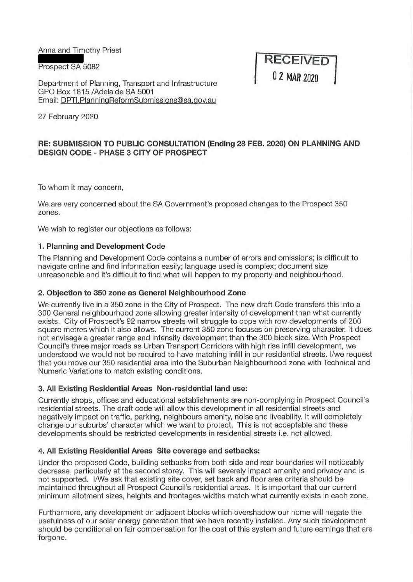Anna and Timothy Priest

Prospect SA 5082

Department of Planning, Transport and Infrastructure GPO Box 1815 /Adelaide SA 5001 Email: DPTl.PlanningReformSubmissions@sa.gov.au

**RECEIVED 0 2 MAR 2020** 

27 February 2020

# **RE: SUBMISSION TO PUBLIC CONSULTATION (Ending 28 FEB. 2020) ON PLANNING AND DESIGN CODE - PHASE 3 CITY OF PROSPECT**

To whom it may concern,

We are very concerned about the SA Government's proposed changes to the Prospect 350 zones.

We wish to register our objections as follows:

## **1. Planning and Development Code**

The Planning and Development Code contains a number of errors and omissions; is difficult to navigate online and find information easily; language used is complex; document size unreasonable and it's difficult to find what will happen to my property and neighbourhood.

### **2. Objection to 350 zone as General Neighbourhood Zone**

We currently live in a 350 zone in the City of Prospect. The new draft Code transfers this into a 300 General neighbourhood zone allowing greater intensity of development than what currently exists. City of Prospect's 92 narrow streets will struggle to cope with row developments of 200 square metres which it also allows. The current 350 zone focuses on preserving character. It does not envisage a greater range and intensity development than the 300 block size. With Prospect Council's three major roads as Urban Transport Corridors with high rise infill development, we understood we would not be required to have matching infill in our residential streets. I/we request that you move our 350 residential area into the Suburban Neighbourhood zone with Technical and Numeric Variations to match existing conditions.

#### **3. All Existing Residential Areas Non-residential land use:**

Currently shops, offices and educational establishments are non-complying in Prospect Council's residential streets. The draft code will allow this development in all residential streets and negatively impact on traffic, parking, neighbours amenity, noise and liveability. It will completely change our suburbs' character which we want to protect. This is not acceptable and these developments should be restricted developments in residential streets i.e. not allowed.

### **4. All Existing Residential Areas Site coverage and setbacks:**

Under the proposed Code, building setbacks from both side and rear boundaries will noticeably decrease, particularly at the second storey. This will severely impact amenity and privacy and is not supported. I/We ask that existing site cover, set back and floor area criteria should be maintained throughout all Prospect Council's residential areas. It is important that our current minimum allotment sizes, heights and frontages widths match what currently exists in each zone.

Furthermore, any development on adjacent blocks which overshadow our home will negate the usefulness of our solar energy generation that we have recently installed. Any such development should be conditional on fair compensation for the cost of this system and future earnings that are forgone.